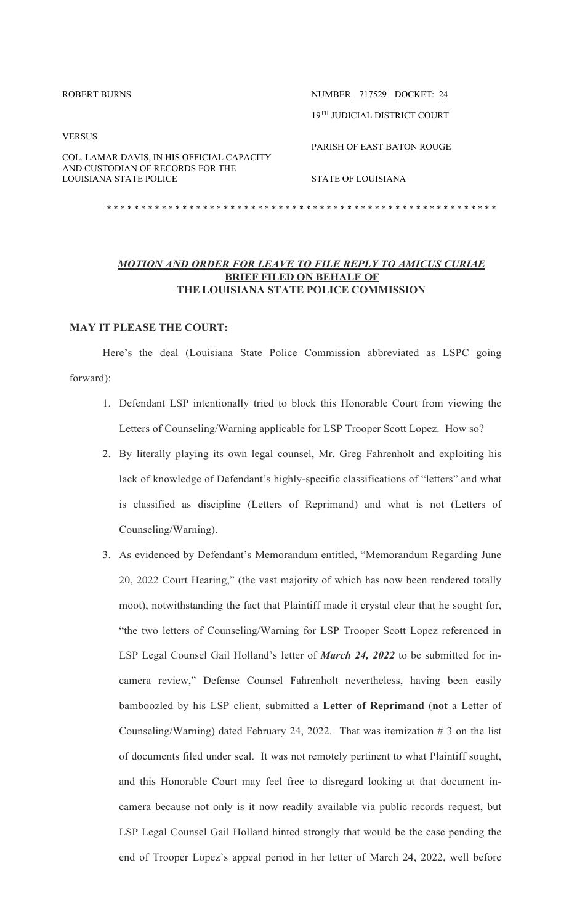| ROBERT BURNS                                                | NUMBER 717529 DOCKET: 24          |
|-------------------------------------------------------------|-----------------------------------|
|                                                             | 19TH JUDICIAL DISTRICT COURT      |
| <b>VERSUS</b><br>COL. LAMAR DAVIS, IN HIS OFFICIAL CAPACITY | <b>PARISH OF EAST BATON ROUGE</b> |
| AND CUSTODIAN OF RECORDS FOR THE<br>LOUISIANA STATE POLICE  | STATE OF LOUISIANA                |
|                                                             |                                   |

# *MOTION AND ORDER FOR LEAVE TO FILE REPLY TO AMICUS CURIAE* **BRIEF FILED ON BEHALF OF THE LOUISIANA STATE POLICE COMMISSION**

## **MAY IT PLEASE THE COURT:**

Here's the deal (Louisiana State Police Commission abbreviated as LSPC going forward):

- 1. Defendant LSP intentionally tried to block this Honorable Court from viewing the Letters of Counseling/Warning applicable for LSP Trooper Scott Lopez. How so?
- 2. By literally playing its own legal counsel, Mr. Greg Fahrenholt and exploiting his lack of knowledge of Defendant's highly-specific classifications of "letters" and what is classified as discipline (Letters of Reprimand) and what is not (Letters of Counseling/Warning).
- 3. As evidenced by Defendant's Memorandum entitled, "Memorandum Regarding June 20, 2022 Court Hearing," (the vast majority of which has now been rendered totally moot), notwithstanding the fact that Plaintiff made it crystal clear that he sought for, "the two letters of Counseling/Warning for LSP Trooper Scott Lopez referenced in LSP Legal Counsel Gail Holland's letter of *March 24, 2022* to be submitted for incamera review," Defense Counsel Fahrenholt nevertheless, having been easily bamboozled by his LSP client, submitted a **Letter of Reprimand** (**not** a Letter of Counseling/Warning) dated February 24, 2022. That was itemization # 3 on the list of documents filed under seal. It was not remotely pertinent to what Plaintiff sought, and this Honorable Court may feel free to disregard looking at that document incamera because not only is it now readily available via public records request, but LSP Legal Counsel Gail Holland hinted strongly that would be the case pending the end of Trooper Lopez's appeal period in her letter of March 24, 2022, well before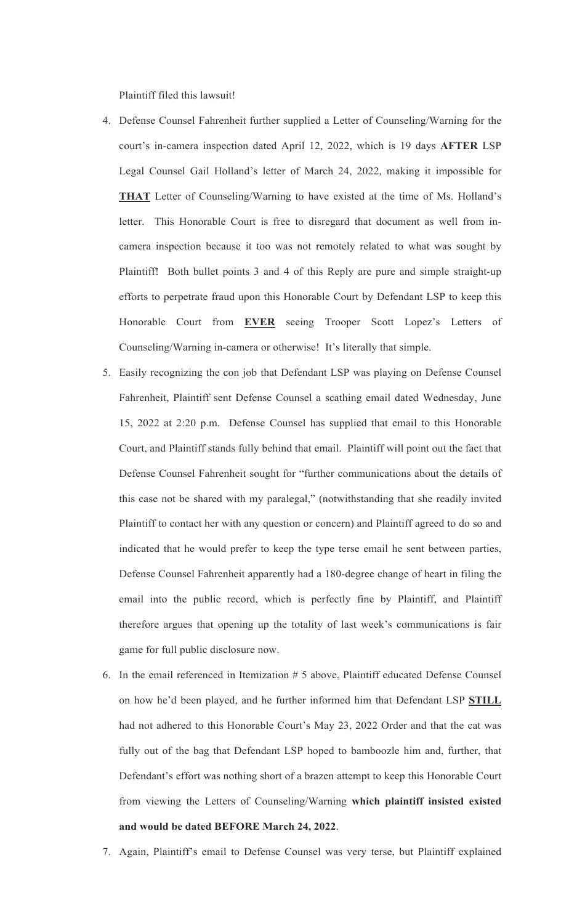Plaintiff filed this lawsuit!

- 4. Defense Counsel Fahrenheit further supplied a Letter of Counseling/Warning for the court's in-camera inspection dated April 12, 2022, which is 19 days **AFTER** LSP Legal Counsel Gail Holland's letter of March 24, 2022, making it impossible for **THAT** Letter of Counseling/Warning to have existed at the time of Ms. Holland's letter. This Honorable Court is free to disregard that document as well from incamera inspection because it too was not remotely related to what was sought by Plaintiff! Both bullet points 3 and 4 of this Reply are pure and simple straight-up efforts to perpetrate fraud upon this Honorable Court by Defendant LSP to keep this Honorable Court from **EVER** seeing Trooper Scott Lopez's Letters of Counseling/Warning in-camera or otherwise! It's literally that simple.
- 5. Easily recognizing the con job that Defendant LSP was playing on Defense Counsel Fahrenheit, Plaintiff sent Defense Counsel a scathing email dated Wednesday, June 15, 2022 at 2:20 p.m. Defense Counsel has supplied that email to this Honorable Court, and Plaintiff stands fully behind that email. Plaintiff will point out the fact that Defense Counsel Fahrenheit sought for "further communications about the details of this case not be shared with my paralegal," (notwithstanding that she readily invited Plaintiff to contact her with any question or concern) and Plaintiff agreed to do so and indicated that he would prefer to keep the type terse email he sent between parties, Defense Counsel Fahrenheit apparently had a 180-degree change of heart in filing the email into the public record, which is perfectly fine by Plaintiff, and Plaintiff therefore argues that opening up the totality of last week's communications is fair game for full public disclosure now.
- 6. In the email referenced in Itemization # 5 above, Plaintiff educated Defense Counsel on how he'd been played, and he further informed him that Defendant LSP **STILL** had not adhered to this Honorable Court's May 23, 2022 Order and that the cat was fully out of the bag that Defendant LSP hoped to bamboozle him and, further, that Defendant's effort was nothing short of a brazen attempt to keep this Honorable Court from viewing the Letters of Counseling/Warning **which plaintiff insisted existed and would be dated BEFORE March 24, 2022**.
- 7. Again, Plaintiff's email to Defense Counsel was very terse, but Plaintiff explained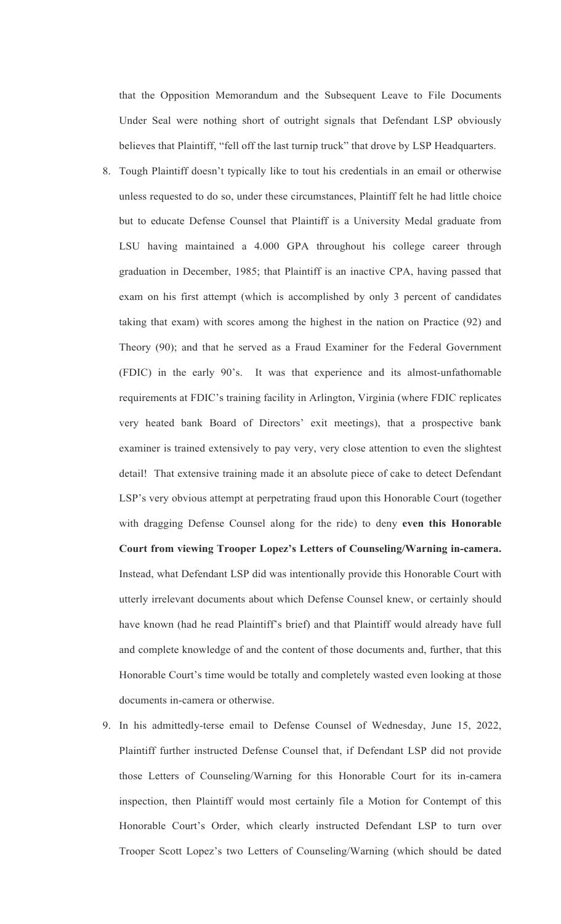that the Opposition Memorandum and the Subsequent Leave to File Documents Under Seal were nothing short of outright signals that Defendant LSP obviously believes that Plaintiff, "fell off the last turnip truck" that drove by LSP Headquarters.

- 8. Tough Plaintiff doesn't typically like to tout his credentials in an email or otherwise unless requested to do so, under these circumstances, Plaintiff felt he had little choice but to educate Defense Counsel that Plaintiff is a University Medal graduate from LSU having maintained a 4.000 GPA throughout his college career through graduation in December, 1985; that Plaintiff is an inactive CPA, having passed that exam on his first attempt (which is accomplished by only 3 percent of candidates taking that exam) with scores among the highest in the nation on Practice (92) and Theory (90); and that he served as a Fraud Examiner for the Federal Government (FDIC) in the early 90's. It was that experience and its almost-unfathomable requirements at FDIC's training facility in Arlington, Virginia (where FDIC replicates very heated bank Board of Directors' exit meetings), that a prospective bank examiner is trained extensively to pay very, very close attention to even the slightest detail! That extensive training made it an absolute piece of cake to detect Defendant LSP's very obvious attempt at perpetrating fraud upon this Honorable Court (together with dragging Defense Counsel along for the ride) to deny **even this Honorable Court from viewing Trooper Lopez's Letters of Counseling/Warning in-camera.** Instead, what Defendant LSP did was intentionally provide this Honorable Court with utterly irrelevant documents about which Defense Counsel knew, or certainly should have known (had he read Plaintiff's brief) and that Plaintiff would already have full and complete knowledge of and the content of those documents and, further, that this Honorable Court's time would be totally and completely wasted even looking at those documents in-camera or otherwise.
- 9. In his admittedly-terse email to Defense Counsel of Wednesday, June 15, 2022, Plaintiff further instructed Defense Counsel that, if Defendant LSP did not provide those Letters of Counseling/Warning for this Honorable Court for its in-camera inspection, then Plaintiff would most certainly file a Motion for Contempt of this Honorable Court's Order, which clearly instructed Defendant LSP to turn over Trooper Scott Lopez's two Letters of Counseling/Warning (which should be dated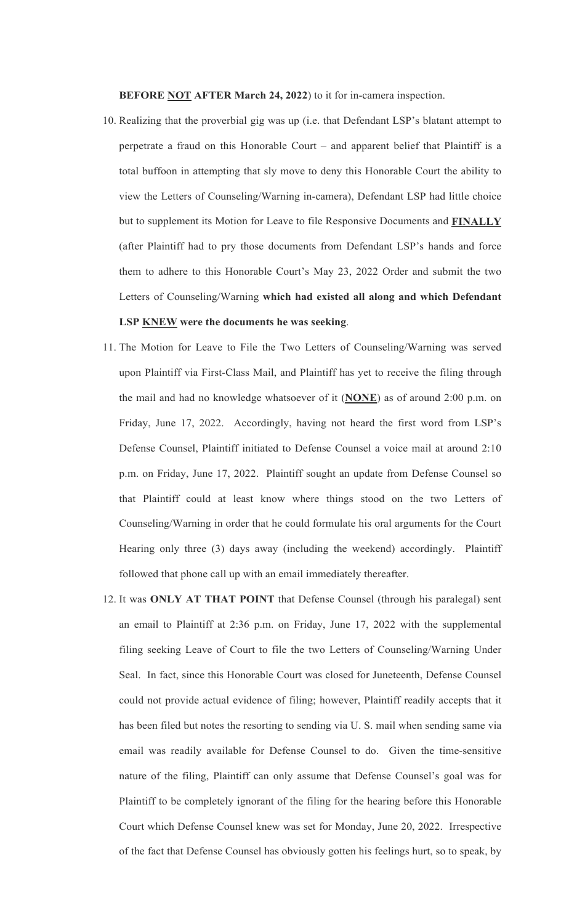**BEFORE NOT AFTER March 24, 2022**) to it for in-camera inspection.

- 10. Realizing that the proverbial gig was up (i.e. that Defendant LSP's blatant attempt to perpetrate a fraud on this Honorable Court – and apparent belief that Plaintiff is a total buffoon in attempting that sly move to deny this Honorable Court the ability to view the Letters of Counseling/Warning in-camera), Defendant LSP had little choice but to supplement its Motion for Leave to file Responsive Documents and **FINALLY** (after Plaintiff had to pry those documents from Defendant LSP's hands and force them to adhere to this Honorable Court's May 23, 2022 Order and submit the two Letters of Counseling/Warning **which had existed all along and which Defendant LSP KNEW were the documents he was seeking**.
- 11. The Motion for Leave to File the Two Letters of Counseling/Warning was served upon Plaintiff via First-Class Mail, and Plaintiff has yet to receive the filing through the mail and had no knowledge whatsoever of it (**NONE**) as of around 2:00 p.m. on Friday, June 17, 2022. Accordingly, having not heard the first word from LSP's Defense Counsel, Plaintiff initiated to Defense Counsel a voice mail at around 2:10 p.m. on Friday, June 17, 2022. Plaintiff sought an update from Defense Counsel so that Plaintiff could at least know where things stood on the two Letters of Counseling/Warning in order that he could formulate his oral arguments for the Court Hearing only three (3) days away (including the weekend) accordingly. Plaintiff followed that phone call up with an email immediately thereafter.
- 12. It was **ONLY AT THAT POINT** that Defense Counsel (through his paralegal) sent an email to Plaintiff at 2:36 p.m. on Friday, June 17, 2022 with the supplemental filing seeking Leave of Court to file the two Letters of Counseling/Warning Under Seal. In fact, since this Honorable Court was closed for Juneteenth, Defense Counsel could not provide actual evidence of filing; however, Plaintiff readily accepts that it has been filed but notes the resorting to sending via U. S. mail when sending same via email was readily available for Defense Counsel to do. Given the time-sensitive nature of the filing, Plaintiff can only assume that Defense Counsel's goal was for Plaintiff to be completely ignorant of the filing for the hearing before this Honorable Court which Defense Counsel knew was set for Monday, June 20, 2022. Irrespective of the fact that Defense Counsel has obviously gotten his feelings hurt, so to speak, by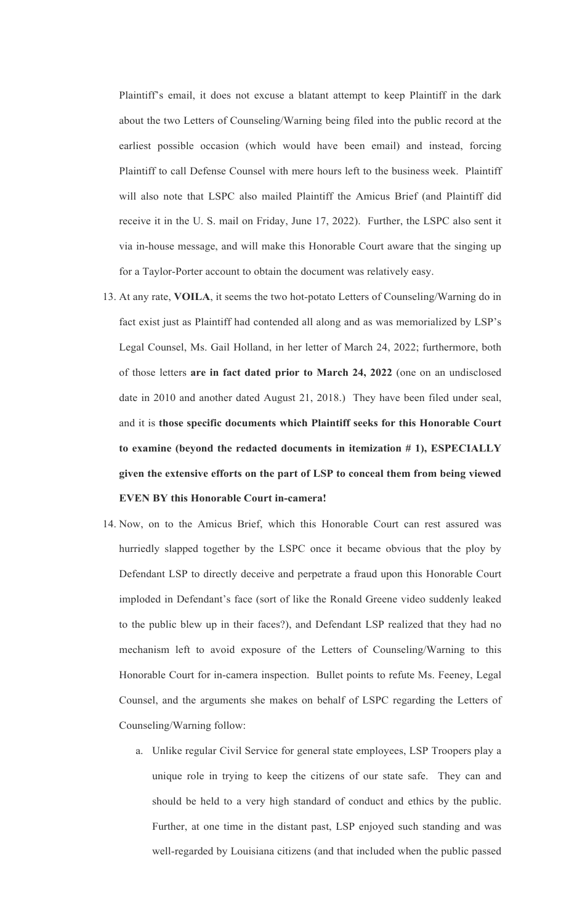Plaintiff's email, it does not excuse a blatant attempt to keep Plaintiff in the dark about the two Letters of Counseling/Warning being filed into the public record at the earliest possible occasion (which would have been email) and instead, forcing Plaintiff to call Defense Counsel with mere hours left to the business week. Plaintiff will also note that LSPC also mailed Plaintiff the Amicus Brief (and Plaintiff did receive it in the U. S. mail on Friday, June 17, 2022). Further, the LSPC also sent it via in-house message, and will make this Honorable Court aware that the singing up for a Taylor-Porter account to obtain the document was relatively easy.

- 13. At any rate, **VOILA**, it seems the two hot-potato Letters of Counseling/Warning do in fact exist just as Plaintiff had contended all along and as was memorialized by LSP's Legal Counsel, Ms. Gail Holland, in her letter of March 24, 2022; furthermore, both of those letters **are in fact dated prior to March 24, 2022** (one on an undisclosed date in 2010 and another dated August 21, 2018.) They have been filed under seal, and it is **those specific documents which Plaintiff seeks for this Honorable Court to examine (beyond the redacted documents in itemization # 1), ESPECIALLY given the extensive efforts on the part of LSP to conceal them from being viewed EVEN BY this Honorable Court in-camera!**
- 14. Now, on to the Amicus Brief, which this Honorable Court can rest assured was hurriedly slapped together by the LSPC once it became obvious that the ploy by Defendant LSP to directly deceive and perpetrate a fraud upon this Honorable Court imploded in Defendant's face (sort of like the Ronald Greene video suddenly leaked to the public blew up in their faces?), and Defendant LSP realized that they had no mechanism left to avoid exposure of the Letters of Counseling/Warning to this Honorable Court for in-camera inspection. Bullet points to refute Ms. Feeney, Legal Counsel, and the arguments she makes on behalf of LSPC regarding the Letters of Counseling/Warning follow:
	- a. Unlike regular Civil Service for general state employees, LSP Troopers play a unique role in trying to keep the citizens of our state safe. They can and should be held to a very high standard of conduct and ethics by the public. Further, at one time in the distant past, LSP enjoyed such standing and was well-regarded by Louisiana citizens (and that included when the public passed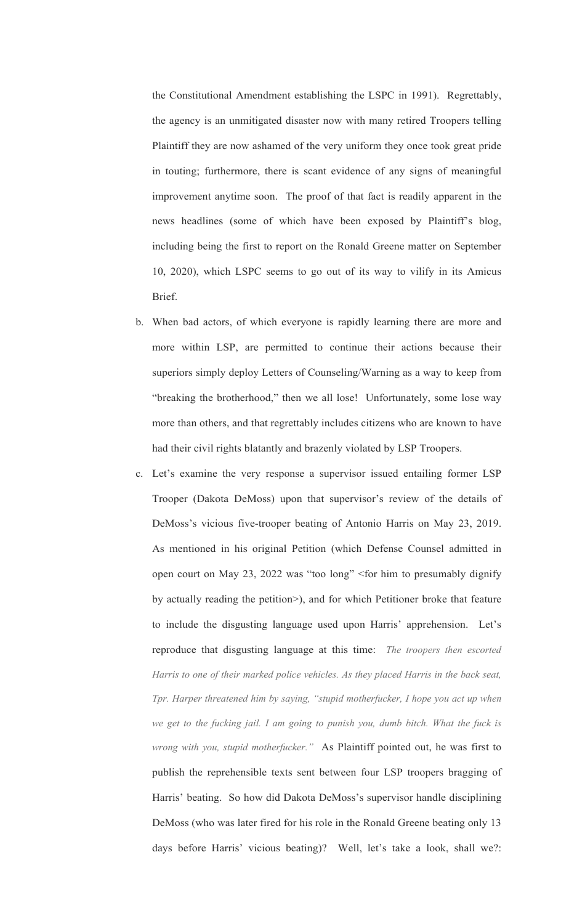the Constitutional Amendment establishing the LSPC in 1991). Regrettably, the agency is an unmitigated disaster now with many retired Troopers telling Plaintiff they are now ashamed of the very uniform they once took great pride in touting; furthermore, there is scant evidence of any signs of meaningful improvement anytime soon. The proof of that fact is readily apparent in the news headlines (some of which have been exposed by Plaintiff's blog, including being the first to report on the Ronald Greene matter on September 10, 2020), which LSPC seems to go out of its way to vilify in its Amicus Brief.

- b. When bad actors, of which everyone is rapidly learning there are more and more within LSP, are permitted to continue their actions because their superiors simply deploy Letters of Counseling/Warning as a way to keep from "breaking the brotherhood," then we all lose! Unfortunately, some lose way more than others, and that regrettably includes citizens who are known to have had their civil rights blatantly and brazenly violated by LSP Troopers.
- c. Let's examine the very response a supervisor issued entailing former LSP Trooper (Dakota DeMoss) upon that supervisor's review of the details of DeMoss's vicious five-trooper beating of Antonio Harris on May 23, 2019. As mentioned in his original Petition (which Defense Counsel admitted in open court on May 23, 2022 was "too long" <for him to presumably dignify by actually reading the petition>), and for which Petitioner broke that feature to include the disgusting language used upon Harris' apprehension. Let's reproduce that disgusting language at this time: *The troopers then escorted Harris to one of their marked police vehicles. As they placed Harris in the back seat, Tpr. Harper threatened him by saying, "stupid motherfucker, I hope you act up when we get to the fucking jail. I am going to punish you, dumb bitch. What the fuck is wrong with you, stupid motherfucker."* As Plaintiff pointed out, he was first to publish the reprehensible texts sent between four LSP troopers bragging of Harris' beating. So how did Dakota DeMoss's supervisor handle disciplining DeMoss (who was later fired for his role in the Ronald Greene beating only 13 days before Harris' vicious beating)? Well, let's take a look, shall we?: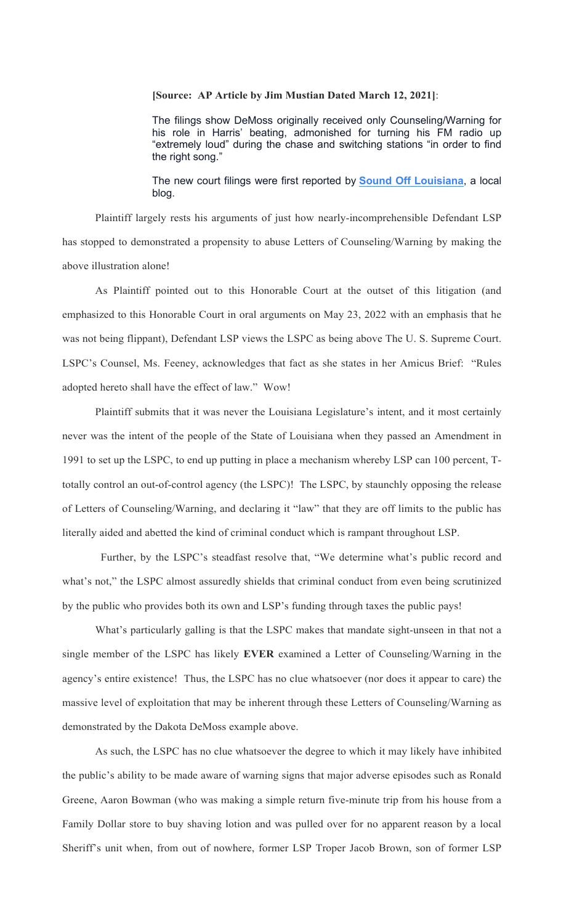### **[Source: AP Article by Jim Mustian Dated March 12, 2021]**:

The filings show DeMoss originally received only Counseling/Warning for his role in Harris' beating, admonished for turning his FM radio up "extremely loud" during the chase and switching stations "in order to find the right song."

The new court filings were first reported by **Sound Off Louisiana**, a local blog.

Plaintiff largely rests his arguments of just how nearly-incomprehensible Defendant LSP has stopped to demonstrated a propensity to abuse Letters of Counseling/Warning by making the above illustration alone!

As Plaintiff pointed out to this Honorable Court at the outset of this litigation (and emphasized to this Honorable Court in oral arguments on May 23, 2022 with an emphasis that he was not being flippant), Defendant LSP views the LSPC as being above The U. S. Supreme Court. LSPC's Counsel, Ms. Feeney, acknowledges that fact as she states in her Amicus Brief: "Rules adopted hereto shall have the effect of law." Wow!

Plaintiff submits that it was never the Louisiana Legislature's intent, and it most certainly never was the intent of the people of the State of Louisiana when they passed an Amendment in 1991 to set up the LSPC, to end up putting in place a mechanism whereby LSP can 100 percent, Ttotally control an out-of-control agency (the LSPC)! The LSPC, by staunchly opposing the release of Letters of Counseling/Warning, and declaring it "law" that they are off limits to the public has literally aided and abetted the kind of criminal conduct which is rampant throughout LSP.

 Further, by the LSPC's steadfast resolve that, "We determine what's public record and what's not," the LSPC almost assuredly shields that criminal conduct from even being scrutinized by the public who provides both its own and LSP's funding through taxes the public pays!

What's particularly galling is that the LSPC makes that mandate sight-unseen in that not a single member of the LSPC has likely **EVER** examined a Letter of Counseling/Warning in the agency's entire existence! Thus, the LSPC has no clue whatsoever (nor does it appear to care) the massive level of exploitation that may be inherent through these Letters of Counseling/Warning as demonstrated by the Dakota DeMoss example above.

As such, the LSPC has no clue whatsoever the degree to which it may likely have inhibited the public's ability to be made aware of warning signs that major adverse episodes such as Ronald Greene, Aaron Bowman (who was making a simple return five-minute trip from his house from a Family Dollar store to buy shaving lotion and was pulled over for no apparent reason by a local Sheriff's unit when, from out of nowhere, former LSP Troper Jacob Brown, son of former LSP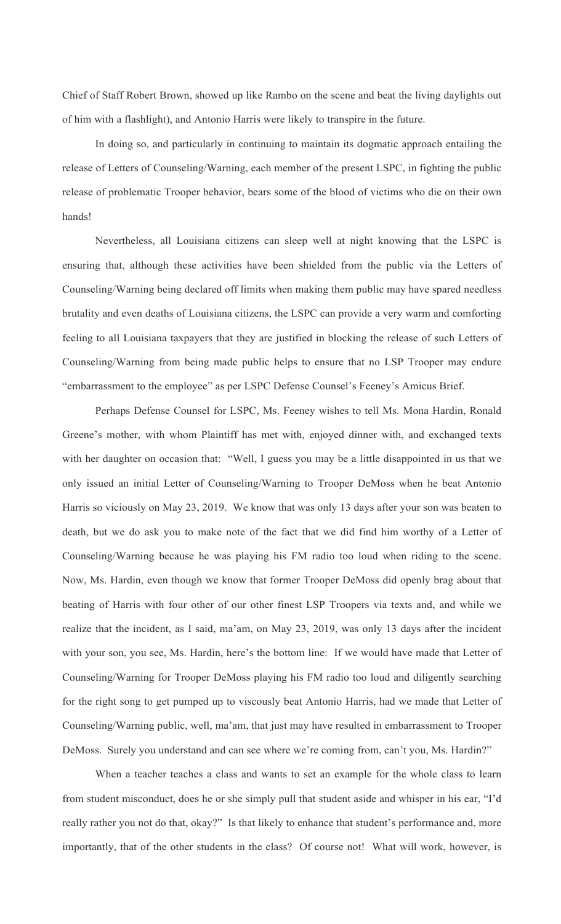Chief of Staff Robert Brown, showed up like Rambo on the scene and beat the living daylights out of him with a flashlight), and Antonio Harris were likely to transpire in the future.

In doing so, and particularly in continuing to maintain its dogmatic approach entailing the release of Letters of Counseling/Warning, each member of the present LSPC, in fighting the public release of problematic Trooper behavior, bears some of the blood of victims who die on their own hands!

Nevertheless, all Louisiana citizens can sleep well at night knowing that the LSPC is ensuring that, although these activities have been shielded from the public via the Letters of Counseling/Warning being declared off limits when making them public may have spared needless brutality and even deaths of Louisiana citizens, the LSPC can provide a very warm and comforting feeling to all Louisiana taxpayers that they are justified in blocking the release of such Letters of Counseling/Warning from being made public helps to ensure that no LSP Trooper may endure "embarrassment to the employee" as per LSPC Defense Counsel's Feeney's Amicus Brief.

Perhaps Defense Counsel for LSPC, Ms. Feeney wishes to tell Ms. Mona Hardin, Ronald Greene's mother, with whom Plaintiff has met with, enjoyed dinner with, and exchanged texts with her daughter on occasion that: "Well, I guess you may be a little disappointed in us that we only issued an initial Letter of Counseling/Warning to Trooper DeMoss when he beat Antonio Harris so viciously on May 23, 2019. We know that was only 13 days after your son was beaten to death, but we do ask you to make note of the fact that we did find him worthy of a Letter of Counseling/Warning because he was playing his FM radio too loud when riding to the scene. Now, Ms. Hardin, even though we know that former Trooper DeMoss did openly brag about that beating of Harris with four other of our other finest LSP Troopers via texts and, and while we realize that the incident, as I said, ma'am, on May 23, 2019, was only 13 days after the incident with your son, you see, Ms. Hardin, here's the bottom line: If we would have made that Letter of Counseling/Warning for Trooper DeMoss playing his FM radio too loud and diligently searching for the right song to get pumped up to viscously beat Antonio Harris, had we made that Letter of Counseling/Warning public, well, ma'am, that just may have resulted in embarrassment to Trooper DeMoss. Surely you understand and can see where we're coming from, can't you, Ms. Hardin?"

When a teacher teaches a class and wants to set an example for the whole class to learn from student misconduct, does he or she simply pull that student aside and whisper in his ear, "I'd really rather you not do that, okay?" Is that likely to enhance that student's performance and, more importantly, that of the other students in the class? Of course not! What will work, however, is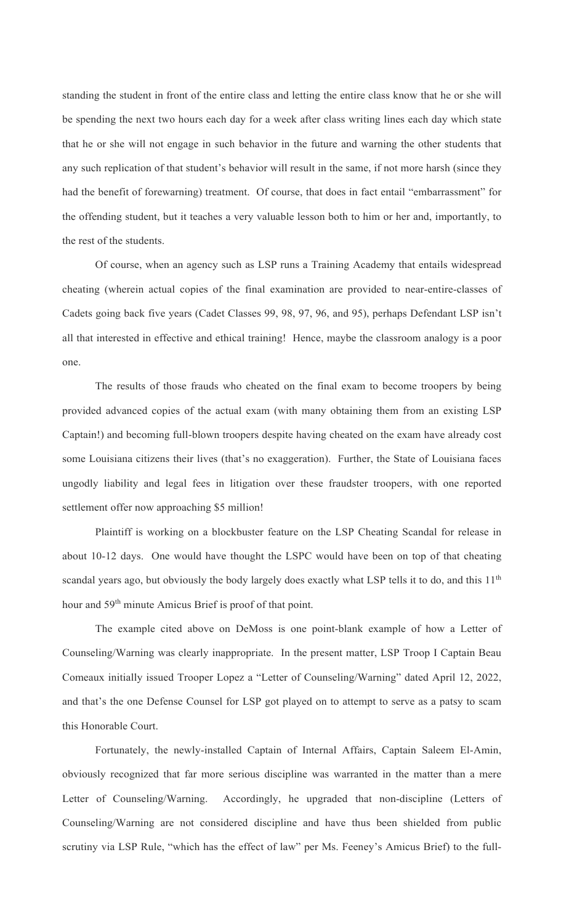standing the student in front of the entire class and letting the entire class know that he or she will be spending the next two hours each day for a week after class writing lines each day which state that he or she will not engage in such behavior in the future and warning the other students that any such replication of that student's behavior will result in the same, if not more harsh (since they had the benefit of forewarning) treatment. Of course, that does in fact entail "embarrassment" for the offending student, but it teaches a very valuable lesson both to him or her and, importantly, to the rest of the students.

Of course, when an agency such as LSP runs a Training Academy that entails widespread cheating (wherein actual copies of the final examination are provided to near-entire-classes of Cadets going back five years (Cadet Classes 99, 98, 97, 96, and 95), perhaps Defendant LSP isn't all that interested in effective and ethical training! Hence, maybe the classroom analogy is a poor one.

The results of those frauds who cheated on the final exam to become troopers by being provided advanced copies of the actual exam (with many obtaining them from an existing LSP Captain!) and becoming full-blown troopers despite having cheated on the exam have already cost some Louisiana citizens their lives (that's no exaggeration). Further, the State of Louisiana faces ungodly liability and legal fees in litigation over these fraudster troopers, with one reported settlement offer now approaching \$5 million!

Plaintiff is working on a blockbuster feature on the LSP Cheating Scandal for release in about 10-12 days. One would have thought the LSPC would have been on top of that cheating scandal years ago, but obviously the body largely does exactly what LSP tells it to do, and this 11<sup>th</sup> hour and 59<sup>th</sup> minute Amicus Brief is proof of that point.

The example cited above on DeMoss is one point-blank example of how a Letter of Counseling/Warning was clearly inappropriate. In the present matter, LSP Troop I Captain Beau Comeaux initially issued Trooper Lopez a "Letter of Counseling/Warning" dated April 12, 2022, and that's the one Defense Counsel for LSP got played on to attempt to serve as a patsy to scam this Honorable Court.

Fortunately, the newly-installed Captain of Internal Affairs, Captain Saleem El-Amin, obviously recognized that far more serious discipline was warranted in the matter than a mere Letter of Counseling/Warning. Accordingly, he upgraded that non-discipline (Letters of Counseling/Warning are not considered discipline and have thus been shielded from public scrutiny via LSP Rule, "which has the effect of law" per Ms. Feeney's Amicus Brief) to the full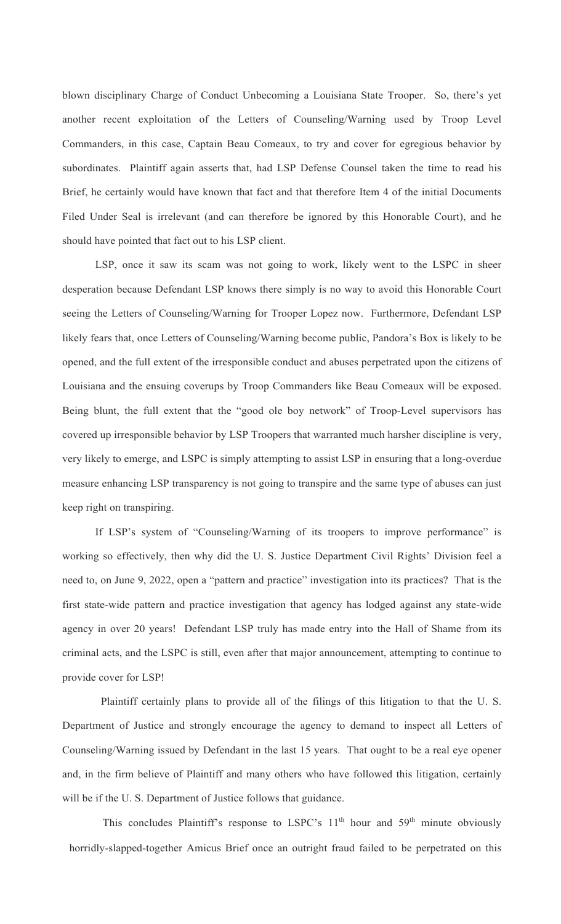blown disciplinary Charge of Conduct Unbecoming a Louisiana State Trooper. So, there's yet another recent exploitation of the Letters of Counseling/Warning used by Troop Level Commanders, in this case, Captain Beau Comeaux, to try and cover for egregious behavior by subordinates. Plaintiff again asserts that, had LSP Defense Counsel taken the time to read his Brief, he certainly would have known that fact and that therefore Item 4 of the initial Documents Filed Under Seal is irrelevant (and can therefore be ignored by this Honorable Court), and he should have pointed that fact out to his LSP client.

LSP, once it saw its scam was not going to work, likely went to the LSPC in sheer desperation because Defendant LSP knows there simply is no way to avoid this Honorable Court seeing the Letters of Counseling/Warning for Trooper Lopez now. Furthermore, Defendant LSP likely fears that, once Letters of Counseling/Warning become public, Pandora's Box is likely to be opened, and the full extent of the irresponsible conduct and abuses perpetrated upon the citizens of Louisiana and the ensuing coverups by Troop Commanders like Beau Comeaux will be exposed. Being blunt, the full extent that the "good ole boy network" of Troop-Level supervisors has covered up irresponsible behavior by LSP Troopers that warranted much harsher discipline is very, very likely to emerge, and LSPC is simply attempting to assist LSP in ensuring that a long-overdue measure enhancing LSP transparency is not going to transpire and the same type of abuses can just keep right on transpiring.

If LSP's system of "Counseling/Warning of its troopers to improve performance" is working so effectively, then why did the U. S. Justice Department Civil Rights' Division feel a need to, on June 9, 2022, open a "pattern and practice" investigation into its practices? That is the first state-wide pattern and practice investigation that agency has lodged against any state-wide agency in over 20 years! Defendant LSP truly has made entry into the Hall of Shame from its criminal acts, and the LSPC is still, even after that major announcement, attempting to continue to provide cover for LSP!

 Plaintiff certainly plans to provide all of the filings of this litigation to that the U. S. Department of Justice and strongly encourage the agency to demand to inspect all Letters of Counseling/Warning issued by Defendant in the last 15 years. That ought to be a real eye opener and, in the firm believe of Plaintiff and many others who have followed this litigation, certainly will be if the U. S. Department of Justice follows that guidance.

This concludes Plaintiff's response to LSPC's  $11<sup>th</sup>$  hour and  $59<sup>th</sup>$  minute obviously horridly-slapped-together Amicus Brief once an outright fraud failed to be perpetrated on this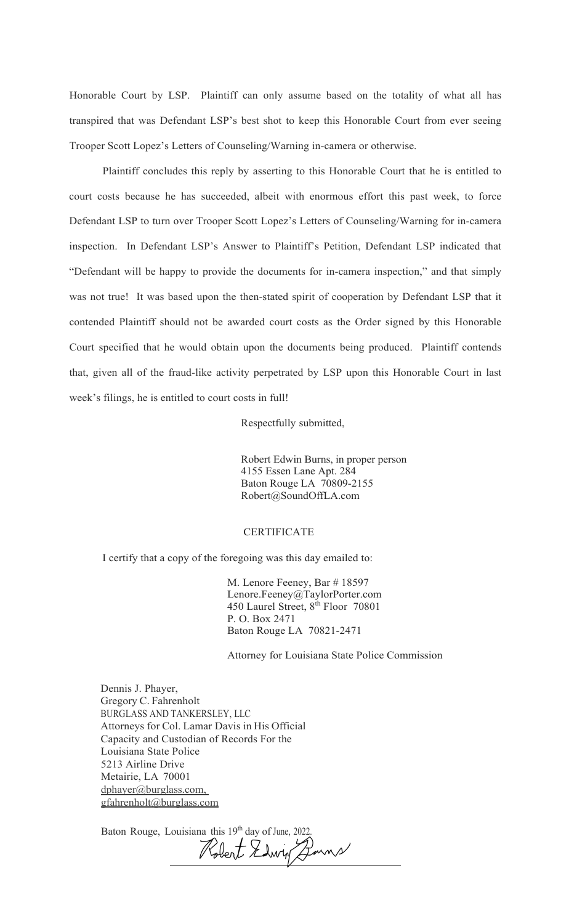Honorable Court by LSP. Plaintiff can only assume based on the totality of what all has transpired that was Defendant LSP's best shot to keep this Honorable Court from ever seeing Trooper Scott Lopez's Letters of Counseling/Warning in-camera or otherwise.

Plaintiff concludes this reply by asserting to this Honorable Court that he is entitled to court costs because he has succeeded, albeit with enormous effort this past week, to force Defendant LSP to turn over Trooper Scott Lopez's Letters of Counseling/Warning for in-camera inspection. In Defendant LSP's Answer to Plaintiff's Petition, Defendant LSP indicated that "Defendant will be happy to provide the documents for in-camera inspection," and that simply was not true! It was based upon the then-stated spirit of cooperation by Defendant LSP that it contended Plaintiff should not be awarded court costs as the Order signed by this Honorable Court specified that he would obtain upon the documents being produced. Plaintiff contends that, given all of the fraud-like activity perpetrated by LSP upon this Honorable Court in last week's filings, he is entitled to court costs in full!

Respectfully submitted,

Robert Edwin Burns, in proper person 4155 Essen Lane Apt. 284 Baton Rouge LA 70809-2155 Robert@SoundOffLA.com

### CERTIFICATE

I certify that a copy of the foregoing was this day emailed to:

 M. Lenore Feeney, Bar # 18597 Lenore.Feeney@TaylorPorter.com 450 Laurel Street, 8<sup>th</sup> Floor 70801 P. O. Box 2471 Baton Rouge LA 70821-2471

Attorney for Louisiana State Police Commission

Dennis J. Phayer, Gregory C. Fahrenholt BURGLASS AND TANKERSLEY, LLC Attorneys for Col. Lamar Davis in His Official Capacity and Custodian of Records For the Louisiana State Police 5213 Airline Drive Metairie, LA 70001 dphayer@burglass.com, gfahrenholt@burglass.com

Baton Rouge, Louisiana this 19<sup>th</sup> day of June, 2022. l